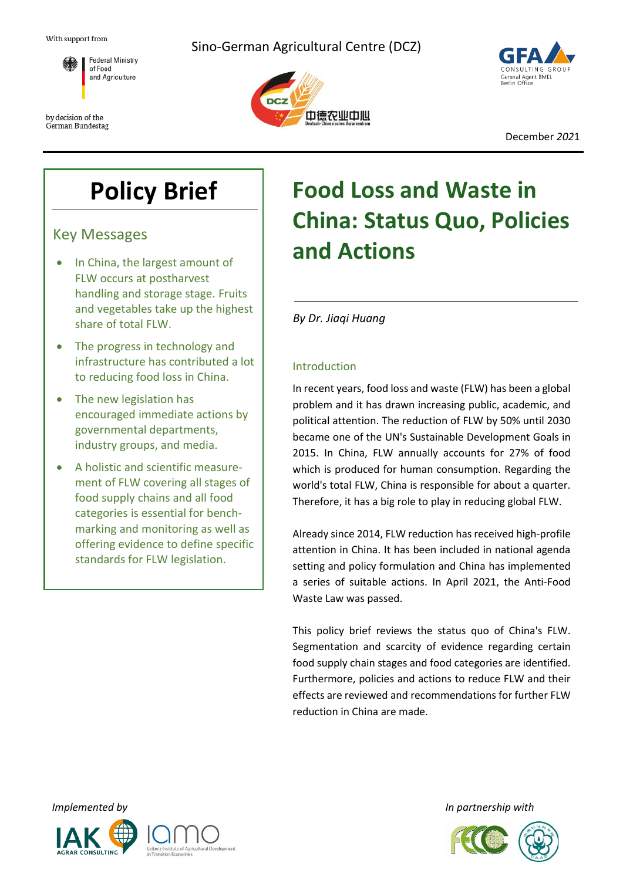

by decision of the German Bundestag







December *202*1

# **Policy Brief**

Key Messages

- In China, the largest amount of FLW occurs at postharvest handling and storage stage. Fruits and vegetables take up the highest share of total FLW.
- The progress in technology and infrastructure has contributed a lot to reducing food loss in China.
- The new legislation has encouraged immediate actions by governmental departments, industry groups, and media.
- A holistic and scientific measurement of FLW covering all stages of food supply chains and all food categories is essential for benchmarking and monitoring as well as offering evidence to define specific standards for FLW legislation.

# **Food Loss and Waste in China: Status Quo, Policies and Actions**

*By Dr. Jiaqi Huang*

# Introduction

In recent years, food loss and waste (FLW) has been a global problem and it has drawn increasing public, academic, and political attention. The reduction of FLW by 50% until 2030 became one of the UN's Sustainable Development Goals in 2015. In China, FLW annually accounts for 27% of food which is produced for human consumption. Regarding the world's total FLW, China is responsible for about a quarter. Therefore, it has a big role to play in reducing global FLW.

Already since 2014, FLW reduction has received high-profile attention in China. It has been included in national agenda setting and policy formulation and China has implemented a series of suitable actions. In April 2021, the Anti-Food Waste Law was passed.

This policy brief reviews the status quo of China's FLW. Segmentation and scarcity of evidence regarding certain food supply chain stages and food categories are identified. Furthermore, policies and actions to reduce FLW and their effects are reviewed and recommendations for further FLW reduction in China are made.





*Implemented by In partnership with*

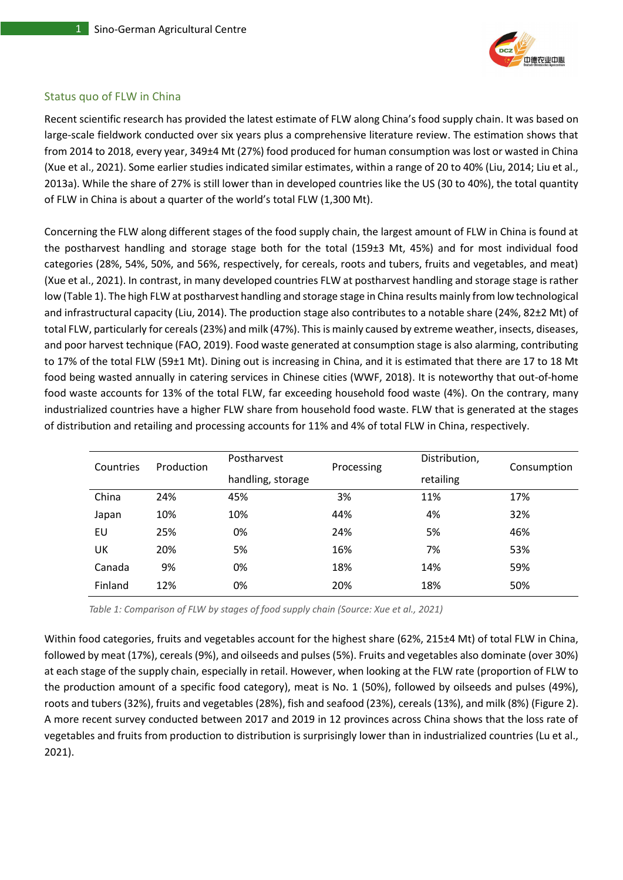

# Status quo of FLW in China

Recent scientific research has provided the latest estimate of FLW along China's food supply chain. It was based on large-scale fieldwork conducted over six years plus a comprehensive literature review. The estimation shows that from 2014 to 2018, every year, 349±4 Mt (27%) food produced for human consumption was lost or wasted in China (Xue et al., 2021). Some earlier studies indicated similar estimates, within a range of 20 to 40% (Liu, 2014; Liu et al., 2013a). While the share of 27% is still lower than in developed countries like the US (30 to 40%), the total quantity of FLW in China is about a quarter of the world's total FLW (1,300 Mt).

Concerning the FLW along different stages of the food supply chain, the largest amount of FLW in China is found at the postharvest handling and storage stage both for the total (159±3 Mt, 45%) and for most individual food categories (28%, 54%, 50%, and 56%, respectively, for cereals, roots and tubers, fruits and vegetables, and meat) (Xue et al., 2021). In contrast, in many developed countries FLW at postharvest handling and storage stage is rather low (Table 1). The high FLW at postharvest handling and storage stage in China results mainly from low technological and infrastructural capacity (Liu, 2014). The production stage also contributes to a notable share (24%, 82±2 Mt) of total FLW, particularly for cereals (23%) and milk (47%). This is mainly caused by extreme weather, insects, diseases, and poor harvest technique (FAO, 2019). Food waste generated at consumption stage is also alarming, contributing to 17% of the total FLW (59±1 Mt). Dining out is increasing in China, and it is estimated that there are 17 to 18 Mt food being wasted annually in catering services in Chinese cities (WWF, 2018). It is noteworthy that out-of-home food waste accounts for 13% of the total FLW, far exceeding household food waste (4%). On the contrary, many industrialized countries have a higher FLW share from household food waste. FLW that is generated at the stages of distribution and retailing and processing accounts for 11% and 4% of total FLW in China, respectively.

| Countries | Production | Postharvest       | Processing | Distribution, | Consumption |
|-----------|------------|-------------------|------------|---------------|-------------|
|           |            | handling, storage |            | retailing     |             |
| China     | 24%        | 45%               | 3%         | 11%           | 17%         |
| Japan     | 10%        | 10%               | 44%        | 4%            | 32%         |
| EU        | 25%        | 0%                | 24%        | 5%            | 46%         |
| UK        | 20%        | 5%                | 16%        | 7%            | 53%         |
| Canada    | 9%         | 0%                | 18%        | 14%           | 59%         |
| Finland   | 12%        | 0%                | 20%        | 18%           | 50%         |

*Table 1: Comparison of FLW by stages of food supply chain (Source: Xue et al., 2021)*

Within food categories, fruits and vegetables account for the highest share (62%, 215±4 Mt) of total FLW in China, followed by meat (17%), cereals (9%), and oilseeds and pulses (5%). Fruits and vegetables also dominate (over 30%) at each stage of the supply chain, especially in retail. However, when looking at the FLW rate (proportion of FLW to the production amount of a specific food category), meat is No. 1 (50%), followed by oilseeds and pulses (49%), roots and tubers (32%), fruits and vegetables (28%), fish and seafood (23%), cereals (13%), and milk (8%) (Figure 2). A more recent survey conducted between 2017 and 2019 in 12 provinces across China shows that the loss rate of vegetables and fruits from production to distribution is surprisingly lower than in industrialized countries (Lu et al., 2021).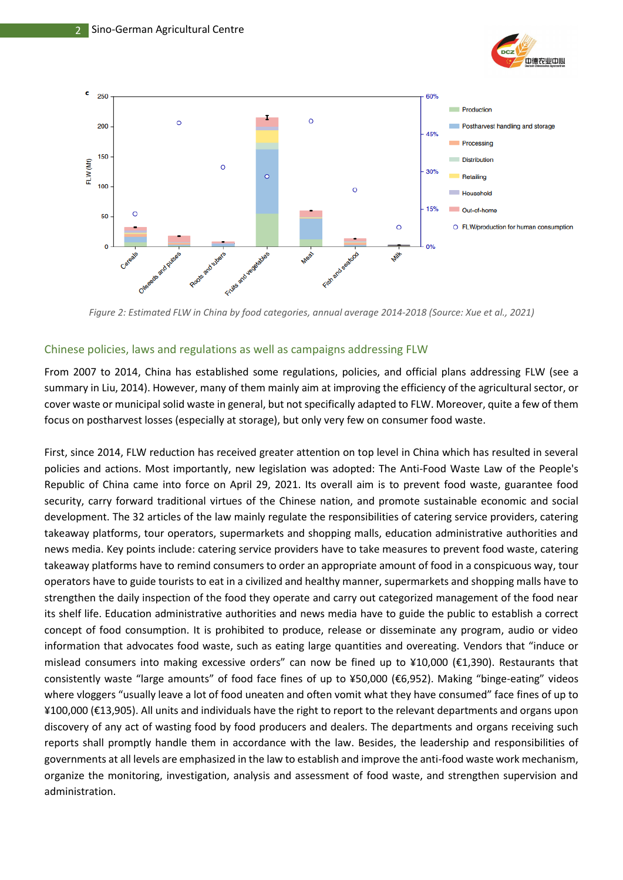



*Figure 2: Estimated FLW in China by food categories, annual average 2014-2018 (Source: Xue et al., 2021)*

# Chinese policies, laws and regulations as well as campaigns addressing FLW

From 2007 to 2014, China has established some regulations, policies, and official plans addressing FLW (see a summary in Liu, 2014). However, many of them mainly aim at improving the efficiency of the agricultural sector, or cover waste or municipal solid waste in general, but not specifically adapted to FLW. Moreover, quite a few of them focus on postharvest losses (especially at storage), but only very few on consumer food waste.

First, since 2014, FLW reduction has received greater attention on top level in China which has resulted in several policies and actions. Most importantly, new legislation was adopted: The Anti-Food [Waste Law of the People's](http://en.pkulaw.cn/display.aspx?cgid=97d7d0ae995676c1bdfb&lib=law)  [Republic of China](http://en.pkulaw.cn/display.aspx?cgid=97d7d0ae995676c1bdfb&lib=law) came into force on April 29, 2021. Its overall aim is to prevent food waste, guarantee food security, carry forward traditional virtues of the Chinese nation, and promote sustainable economic and social development. The 32 articles of the law mainly regulate the responsibilities of catering service providers, catering takeaway platforms, tour operators, supermarkets and shopping malls, education administrative authorities and news media. Key points include: catering service providers have to take measures to prevent food waste, catering takeaway platforms have to remind consumers to order an appropriate amount of food in a conspicuous way, tour operators have to guide tourists to eat in a civilized and healthy manner, supermarkets and shopping malls have to strengthen the daily inspection of the food they operate and carry out categorized management of the food near its shelf life. Education administrative authorities and news media have to guide the public to establish a correct concept of food consumption. It is prohibited to produce, release or disseminate any program, audio or video information that advocates food waste, such as eating large quantities and overeating. Vendors that "induce or mislead consumers into making excessive orders" can now be fined up to ¥10,000 (€1,390). Restaurants that consistently waste "large amounts" of food face fines of up to ¥50,000 (€6,952). Making "binge-eating" videos where vloggers "usually leave a lot of food uneaten and often vomit what they have consumed" face fines of up to ¥100,000 (€13,905). All units and individuals have the right to report to the relevant departments and organs upon discovery of any act of wasting food by food producers and dealers. The departments and organs receiving such reports shall promptly handle them in accordance with the law. Besides, the leadership and responsibilities of governments at all levels are emphasized in the law to establish and improve the anti-food waste work mechanism, organize the monitoring, investigation, analysis and assessment of food waste, and strengthen supervision and administration.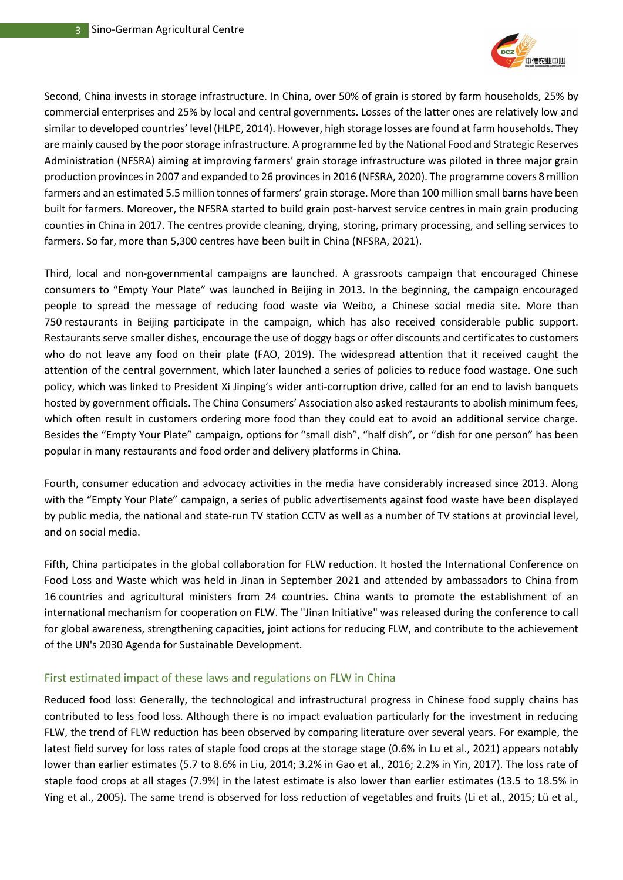

Second, China invests in storage infrastructure. In China, over 50% of grain is stored by farm households, 25% by commercial enterprises and 25% by local and central governments. Losses of the latter ones are relatively low and similar to developed countries' level (HLPE, 2014). However, high storage losses are found at farm households. They are mainly caused by the poor storage infrastructure. A programme led by the National Food and Strategic Reserves Administration (NFSRA) aiming at improving farmers' grain storage infrastructure was piloted in three major grain production provinces in 2007 and expanded to 26 provinces in 2016 (NFSRA, 2020). The programme covers 8 million farmers and an estimated 5.5 million tonnes of farmers' grain storage. More than 100 million small barns have been built for farmers. Moreover, the NFSRA started to build grain post-harvest service centres in main grain producing counties in China in 2017. The centres provide cleaning, drying, storing, primary processing, and selling services to farmers. So far, more than 5,300 centres have been built in China (NFSRA, 2021).

Third, local and non-governmental campaigns are launched. A grassroots campaign that encouraged Chinese consumers to "Empty Your Plate" was launched in Beijing in 2013. In the beginning, the campaign encouraged people to spread the message of reducing food waste via Weibo, a Chinese social media site. More than 750 restaurants in Beijing participate in the campaign, which has also received considerable public support. Restaurants serve smaller dishes, encourage the use of doggy bags or offer discounts and certificates to customers who do not leave any food on their plate (FAO, 2019). The widespread attention that it received caught the attention of the central government, which later launched a series of policies to reduce food wastage. One such policy, which was linked to President Xi Jinping's wider anti-corruption drive, called for an end to lavish banquets hosted by government officials. The China Consumers' Association also asked restaurants to abolish minimum fees, which often result in customers ordering more food than they could eat to avoid an additional service charge. Besides the "Empty Your Plate" campaign, options for "small dish", "half dish", or "dish for one person" has been popular in many restaurants and food order and delivery platforms in China.

Fourth, consumer education and advocacy activities in the media have considerably increased since 2013. Along with the "Empty Your Plate" campaign, a series of public advertisements against food waste have been displayed by public media, the national and state-run TV station CCTV as well as a number of TV stations at provincial level, and on social media.

Fifth, China participates in the global collaboration for FLW reduction. It hosted the International Conference on Food Loss and Waste which was held in Jinan in September 2021 and attended by ambassadors to China from 16 countries and agricultural ministers from 24 countries. China wants to promote the establishment of an international mechanism for cooperation on FLW. The "Jinan Initiative" was released during the conference to call for global awareness, strengthening capacities, joint actions for reducing FLW, and contribute to the achievement of the UN's 2030 Agenda for Sustainable Development.

# First estimated impact of these laws and regulations on FLW in China

Reduced food loss: Generally, the technological and infrastructural progress in Chinese food supply chains has contributed to less food loss. Although there is no impact evaluation particularly for the investment in reducing FLW, the trend of FLW reduction has been observed by comparing literature over several years. For example, the latest field survey for loss rates of staple food crops at the storage stage (0.6% in Lu et al., 2021) appears notably lower than earlier estimates (5.7 to 8.6% in Liu, 2014; 3.2% in Gao et al., 2016; 2.2% in Yin, 2017). The loss rate of staple food crops at all stages (7.9%) in the latest estimate is also lower than earlier estimates (13.5 to 18.5% in Ying et al., 2005). The same trend is observed for loss reduction of vegetables and fruits (Li et al., 2015; Lü et al.,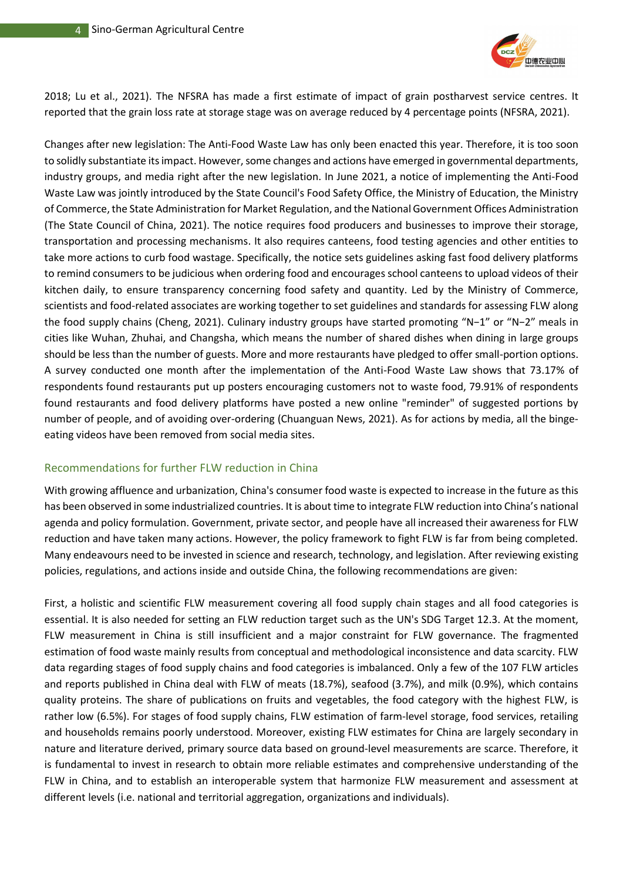

2018; Lu et al., 2021). The NFSRA has made a first estimate of impact of grain postharvest service centres. It reported that the grain loss rate at storage stage was on average reduced by 4 percentage points (NFSRA, 2021).

Changes after new legislation: The Anti-Food Waste Law has only been enacted this year. Therefore, it is too soon to solidly substantiate its impact. However, some changes and actions have emerged in governmental departments, industry groups, and media right after the new legislation. In June 2021, a notice of implementing the Anti-Food Waste Law was jointly introduced by the State Council's Food Safety Office, the Ministry of Education, the Ministry of Commerce, the State Administration for Market Regulation, and the National Government Offices Administration (The State Council of China, 2021). The notice requires food producers and businesses to improve their storage, transportation and processing mechanisms. It also requires canteens, food testing agencies and other entities to take more actions to curb food wastage. Specifically, the notice sets guidelines asking fast food delivery platforms to remind consumers to be judicious when ordering food and encourages school canteens to upload videos of their kitchen daily, to ensure transparency concerning food safety and quantity. Led by the Ministry of Commerce, scientists and food-related associates are working together to set guidelines and standards for assessing FLW along the food supply chains (Cheng, 2021). Culinary industry groups have started promoting "N−1" or "N−2" meals in cities like Wuhan, Zhuhai, and Changsha, which means the number of shared dishes when dining in large groups should be less than the number of guests. More and more restaurants have pledged to offer small-portion options. A survey conducted one month after the implementation of the Anti-Food Waste Law shows that 73.17% of respondents found restaurants put up posters encouraging customers not to waste food, 79.91% of respondents found restaurants and food delivery platforms have posted a new online "reminder" of suggested portions by number of people, and of avoiding over-ordering (Chuanguan News, 2021). As for actions by media, all the bingeeating videos have been removed from social media sites.

# Recommendations for further FLW reduction in China

With growing affluence and urbanization, China's consumer food waste is expected to increase in the future as this has been observed in some industrialized countries. It is about time to integrate FLW reduction into China's national agenda and policy formulation. Government, private sector, and people have all increased their awareness for FLW reduction and have taken many actions. However, the policy framework to fight FLW is far from being completed. Many endeavours need to be invested in science and research, technology, and legislation. After reviewing existing policies, regulations, and actions inside and outside China, the following recommendations are given:

First, a holistic and scientific FLW measurement covering all food supply chain stages and all food categories is essential. It is also needed for setting an FLW reduction target such as the UN's SDG Target 12.3. At the moment, FLW measurement in China is still insufficient and a major constraint for FLW governance. The fragmented estimation of food waste mainly results from conceptual and methodological inconsistence and data scarcity. FLW data regarding stages of food supply chains and food categories is imbalanced. Only a few of the 107 FLW articles and reports published in China deal with FLW of meats (18.7%), seafood (3.7%), and milk (0.9%), which contains quality proteins. The share of publications on fruits and vegetables, the food category with the highest FLW, is rather low (6.5%). For stages of food supply chains, FLW estimation of farm-level storage, food services, retailing and households remains poorly understood. Moreover, existing FLW estimates for China are largely secondary in nature and literature derived, primary source data based on ground-level measurements are scarce. Therefore, it is fundamental to invest in research to obtain more reliable estimates and comprehensive understanding of the FLW in China, and to establish an interoperable system that harmonize FLW measurement and assessment at different levels (i.e. national and territorial aggregation, organizations and individuals).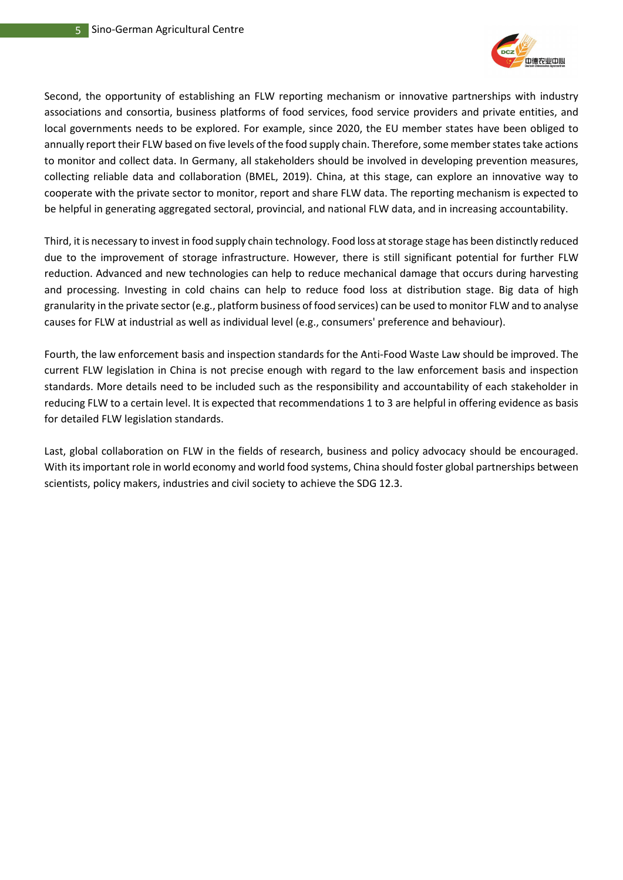

Second, the opportunity of establishing an FLW reporting mechanism or innovative partnerships with industry associations and consortia, business platforms of food services, food service providers and private entities, and local governments needs to be explored. For example, since 2020, the EU member states have been obliged to annually report their FLW based on five levels of the food supply chain. Therefore, some member states take actions to monitor and collect data. In Germany, all stakeholders should be involved in developing prevention measures, collecting reliable data and collaboration (BMEL, 2019). China, at this stage, can explore an innovative way to cooperate with the private sector to monitor, report and share FLW data. The reporting mechanism is expected to be helpful in generating aggregated sectoral, provincial, and national FLW data, and in increasing accountability.

Third, it is necessary to invest in food supply chain technology. Food loss at storage stage has been distinctly reduced due to the improvement of storage infrastructure. However, there is still significant potential for further FLW reduction. Advanced and new technologies can help to reduce mechanical damage that occurs during harvesting and processing. Investing in cold chains can help to reduce food loss at distribution stage. Big data of high granularity in the private sector (e.g., platform business of food services) can be used to monitor FLW and to analyse causes for FLW at industrial as well as individual level (e.g., consumers' preference and behaviour).

Fourth, the law enforcement basis and inspection standards for the Anti-Food Waste Law should be improved. The current FLW legislation in China is not precise enough with regard to the law enforcement basis and inspection standards. More details need to be included such as the responsibility and accountability of each stakeholder in reducing FLW to a certain level. It is expected that recommendations 1 to 3 are helpful in offering evidence as basis for detailed FLW legislation standards.

Last, global collaboration on FLW in the fields of research, business and policy advocacy should be encouraged. With its important role in world economy and world food systems, China should foster global partnerships between scientists, policy makers, industries and civil society to achieve the SDG 12.3.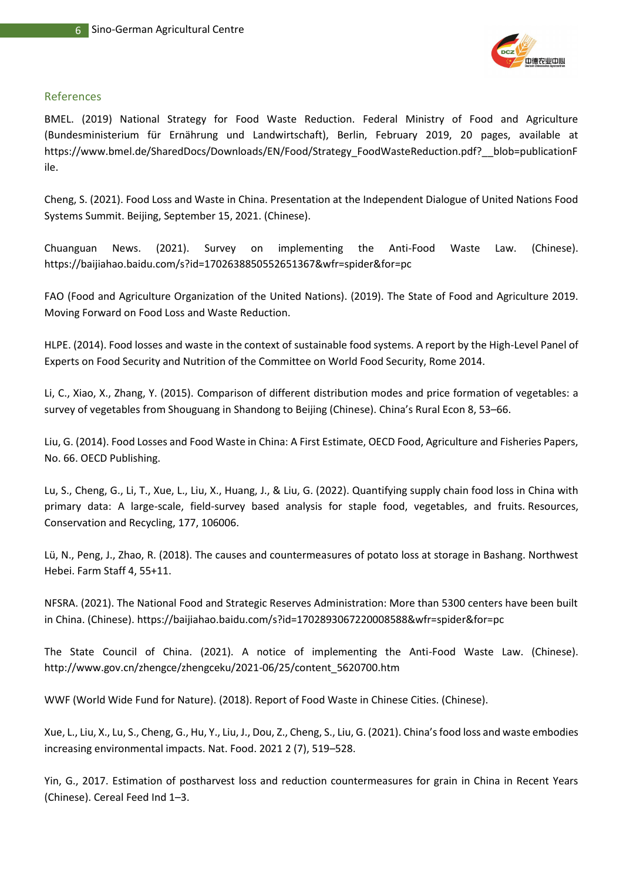

#### References

BMEL. (2019) National Strategy for Food Waste Reduction. Federal Ministry of Food and Agriculture (Bundesministerium für Ernährung und Landwirtschaft), Berlin, February 2019, 20 pages, available at [https://www.bmel.de/SharedDocs/Downloads/EN/Food/Strategy\\_FoodWasteReduction.pdf?\\_\\_blob=publicationF](https://www.bmel.de/SharedDocs/Downloads/EN/Food/Strategy_FoodWasteReduction.pdf?__blob=publicationFile) [ile.](https://www.bmel.de/SharedDocs/Downloads/EN/Food/Strategy_FoodWasteReduction.pdf?__blob=publicationFile)

Cheng, S. (2021). Food Loss and Waste in China. Presentation at the Independent Dialogue of United Nations Food Systems Summit. Beijing, September 15, 2021. (Chinese).

Chuanguan News. (2021). Survey on implementing the Anti-Food Waste Law. (Chinese). <https://baijiahao.baidu.com/s?id=1702638850552651367&wfr=spider&for=pc>

FAO (Food and Agriculture Organization of the United Nations). (2019). The State of Food and Agriculture 2019. Moving Forward on Food Loss and Waste Reduction.

HLPE. (2014). Food losses and waste in the context of sustainable food systems. A report by the High-Level Panel of Experts on Food Security and Nutrition of the Committee on World Food Security, Rome 2014.

Li, C., Xiao, X., Zhang, Y. (2015). Comparison of different distribution modes and price formation of vegetables: a survey of vegetables from Shouguang in Shandong to Beijing (Chinese). China's Rural Econ 8, 53–66.

Liu, G. (2014). Food Losses and Food Waste in China: A First Estimate, OECD Food, Agriculture and Fisheries Papers, No. 66. OECD Publishing.

Lu, S., Cheng, G., Li, T., Xue, L., Liu, X., Huang, J., & Liu, G. (2022). Quantifying supply chain food loss in China with primary data: A large-scale, field-survey based analysis for staple food, vegetables, and fruits. Resources, Conservation and Recycling, 177, 106006.

Lü, N., Peng, J., Zhao, R. (2018). The causes and countermeasures of potato loss at storage in Bashang. Northwest Hebei. Farm Staff 4, 55+11.

NFSRA. (2021). The National Food and Strategic Reserves Administration: More than 5300 centers have been built in China. (Chinese).<https://baijiahao.baidu.com/s?id=1702893067220008588&wfr=spider&for=pc>

The State Council of China. (2021). A notice of implementing the Anti-Food Waste Law. (Chinese). [http://www.gov.cn/zhengce/zhengceku/2021-06/25/content\\_5620700.htm](http://www.gov.cn/zhengce/zhengceku/2021-06/25/content_5620700.htm)

WWF (World Wide Fund for Nature). (2018). Report of Food Waste in Chinese Cities. (Chinese).

Xue, L., Liu, X., Lu, S., Cheng, G., Hu, Y., Liu, J., Dou, Z., Cheng, S., Liu, G. (2021). China's food loss and waste embodies increasing environmental impacts. Nat. Food. 2021 2 (7), 519–528.

Yin, G., 2017. Estimation of postharvest loss and reduction countermeasures for grain in China in Recent Years (Chinese). Cereal Feed Ind 1–3.